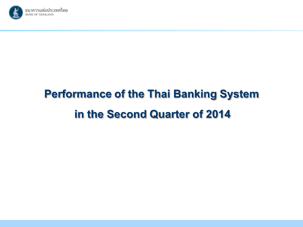

# **Performance of the Thai Banking System** in the Second Quarter of 2014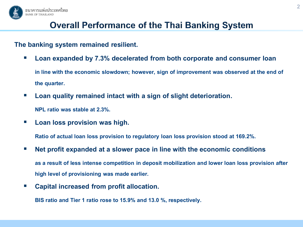

# **Overall Performance of the Thai Banking System**

#### **The banking system remained resilient.**

- **Loan expanded by 7.3% decelerated from both corporate and consumer loan in line with the economic slowdown; however, sign of improvement was observed at the end of the quarter.**
- **Loan quality remained intact with a sign of slight deterioration.**

**NPL ratio was stable at 2.3%.**

**Loan loss provision was high.** 

**Ratio of actual loan loss provision to regulatory loan loss provision stood at 169.2%.**

- **Net profit expanded at a slower pace in line with the economic conditions as a result of less intense competition in deposit mobilization and lower loan loss provision after high level of provisioning was made earlier.**
- **Capital increased from profit allocation.**

**BIS ratio and Tier 1 ratio rose to 15.9% and 13.0 %, respectively.**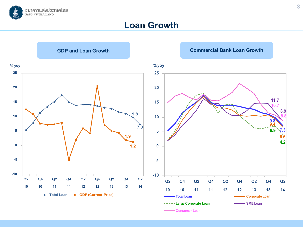

#### **Loan Growth**

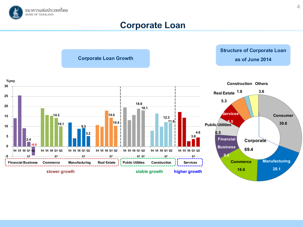

### **Corporate Loan**

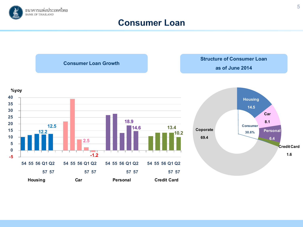

#### **Consumer Loan**

**Consumer Loan Growth**

**Structure of Consumer Loan**

**as of June 2014**



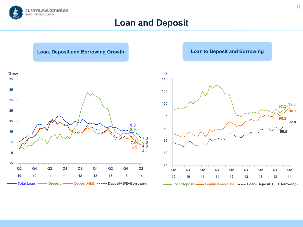

#### **Loan and Deposit**

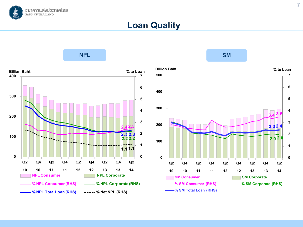

### **Loan Quality**



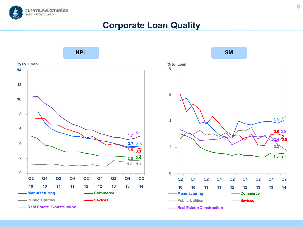

### **Corporate Loan Quality**

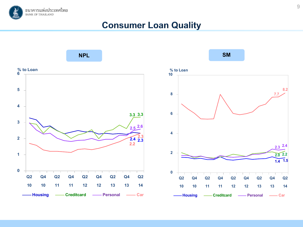

### **Consumer Loan Quality**

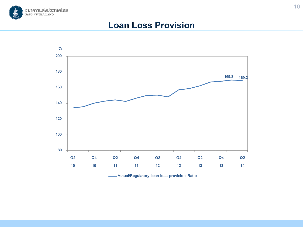

#### **Loan Loss Provision**



**Actual/Regulatory loan loss provision Ratio**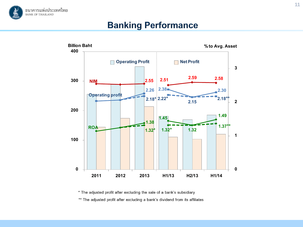

## **Banking Performance**



\* The adjusted profit after excluding the sale of a bank's subsidiary

\*\* The adjusted profit after excluding a bank's dividend from its affiliates